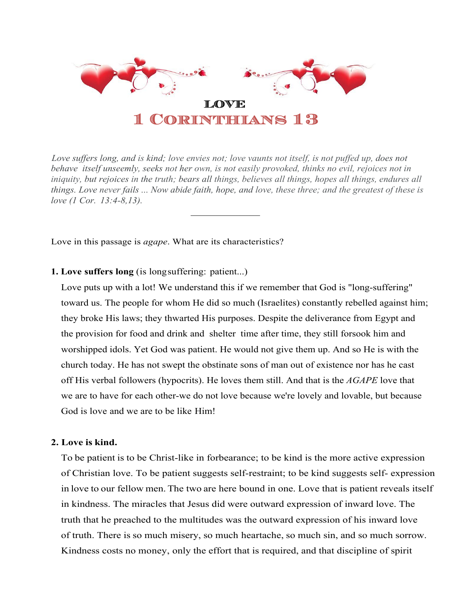

Love suffers long, and is kind; love envies not; love vaunts not itself, is not puffed up, does not *behave itself unseemly, seeks not her own, is not easily provoked, thinks no evil, rejoices not in iniquity, but rejoices in the truth; bears all things, believes all things, hopes all things, endures all things. Love never fails ... Now abide faith, hope, and love, these three; and the greatest of these is love (1 Cor. 13:4-8,13).*

*\_\_\_\_\_\_\_\_\_\_\_\_\_\_*

Love in this passage is *agape*. What are its characteristics?

# **1. Love suffers long** (is longsuffering: patient...)

Love puts up with a lot! We understand this if we remember that God is "long-suffering" toward us. The people for whom He did so much (Israelites) constantly rebelled against him; they broke His laws; they thwarted His purposes. Despite the deliverance from Egypt and the provision for food and drink and shelter time after time, they still forsook him and worshipped idols. Yet God was patient. He would not give them up. And so He is with the church today. He has not swept the obstinate sons of man out of existence nor has he cast off His verbal followers (hypocrits). He loves them still. And that is the *AGAPE* love that we are to have for each other-we do not love because we're lovely and lovable, but because God is love and we are to be like Him!

## **2. Love is kind.**

To be patient is to be Christ-like in forbearance; to be kind is the more active expression of Christian love. To be patient suggests self-restraint; to be kind suggests self- expression in love to our fellow men. The two are here bound in one. Love that is patient reveals itself in kindness. The miracles that Jesus did were outward expression of inward love. The truth that he preached to the multitudes was the outward expression of his inward love of truth. There is so much misery, so much heartache, so much sin, and so much sorrow. Kindness costs no money, only the effort that is required, and that discipline of spirit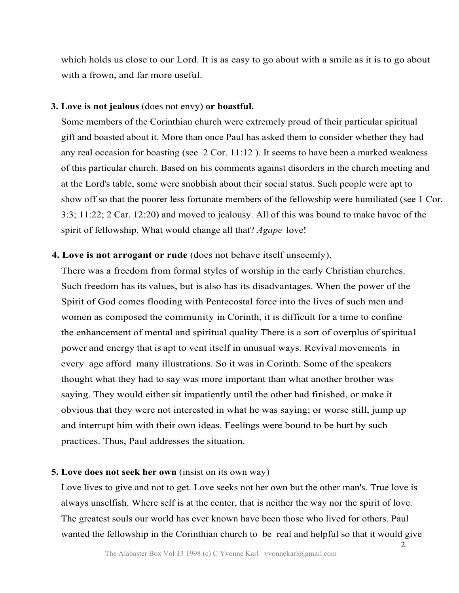which holds us close to our Lord. It is as easy to go about with a smile as it is to go about with a frown, and far more useful.

### **3. Love is not jealous** (does not envy) **or boastful.**

Some members of the Corinthian church were extremely proud of their particular spiritual gift and boasted about it. More than once Paul has asked them to consider whether they had any real occasion for boasting (see 2 Cor. 11:12 ). It seems to have been a marked weakness of this particular church. Based on his comments against disorders in the church meeting and at the Lord's table, some were snobbish about their social status. Such people were apt to show off so that the poorer less fortunate members of the fellowship were humiliated (see 1 Cor. 3:3; 11:22; 2 Car. 12:20) and moved to jealousy. All of this was bound to make havoc of the spirit of fellowship. What would change all that? *Agape* love!

## **4. Love is not arrogant or rude** (does not behave itself unseemly).

There was a freedom from formal styles of worship in the early Christian churches. Such freedom has its values, but is also has its disadvantages. When the power of the Spirit of God comes flooding with Pentecostal force into the lives of such men and women as composed the community in Corinth, it is difficult for a time to confine the enhancement of mental and spiritual quality There is a sort of overplus of spiritual power and energy that is apt to vent itself in unusual ways. Revival movements in every age afford many illustrations. So it was in Corinth. Some of the speakers thought what they had to say was more important than what another brother was saying. They would either sit impatiently until the other had finished, or make it obvious that they were not interested in what he was saying; or worse still, jump up and interrupt him with their own ideas. Feelings were bound to be hurt by such practices. Thus, Paul addresses the situation.

### **5. Love does not seek her own** (insist on its own way)

Love lives to give and not to get. Love seeks not her own but the other man's. True love is always unselfish. Where self is at the center, that is neither the way nor the spirit of love. The greatest souls our world has ever known have been those who lived for others. Paul wanted the fellowship in the Corinthian church to be real and helpful so that it would give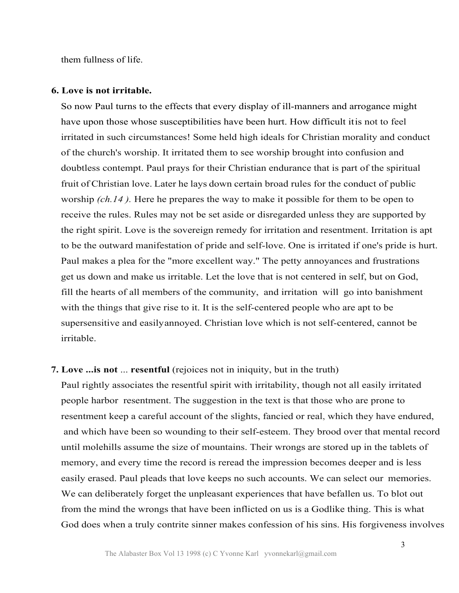them fullness of life.

### **6. Love is not irritable.**

So now Paul turns to the effects that every display of ill-manners and arrogance might have upon those whose susceptibilities have been hurt. How difficult itis not to feel irritated in such circumstances! Some held high ideals for Christian morality and conduct of the church's worship. It irritated them to see worship brought into confusion and doubtless contempt. Paul prays for their Christian endurance that is part of the spiritual fruit of Christian love. Later he lays down certain broad rules for the conduct of public worship *(ch.14 ).* Here he prepares the way to make it possible for them to be open to receive the rules. Rules may not be set aside or disregarded unless they are supported by the right spirit. Love is the sovereign remedy for irritation and resentment. Irritation is apt to be the outward manifestation of pride and self-love. One is irritated if one's pride is hurt. Paul makes a plea for the "more excellent way." The petty annoyances and frustrations get us down and make us irritable. Let the love that is not centered in self, but on God, fill the hearts of all members of the community, and irritation will go into banishment with the things that give rise to it. It is the self-centered people who are apt to be supersensitive and easilyannoyed. Christian love which is not self-centered, cannot be irritable.

#### **7. Love ...is not** ... **resentful** (rejoices not in iniquity, but in the truth)

Paul rightly associates the resentful spirit with irritability, though not all easily irritated people harbor resentment. The suggestion in the text is that those who are prone to resentment keep a careful account of the slights, fancied or real, which they have endured, and which have been so wounding to their self-esteem. They brood over that mental record until molehills assume the size of mountains. Their wrongs are stored up in the tablets of memory, and every time the record is reread the impression becomes deeper and is less easily erased. Paul pleads that love keeps no such accounts. We can select our memories. We can deliberately forget the unpleasant experiences that have befallen us. To blot out from the mind the wrongs that have been inflicted on us is a Godlike thing. This is what God does when a truly contrite sinner makes confession of his sins. His forgiveness involves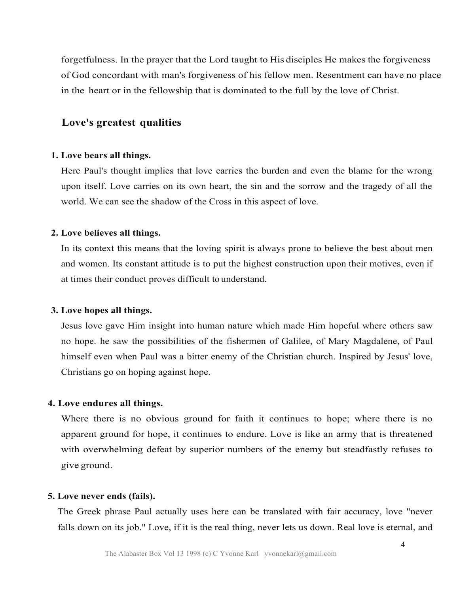forgetfulness. In the prayer that the Lord taught to His disciples He makes the forgiveness of God concordant with man's forgiveness of his fellow men. Resentment can have no place in the heart or in the fellowship that is dominated to the full by the love of Christ.

## **Love's greatest qualities**

### **1. Love bears all things.**

Here Paul's thought implies that love carries the burden and even the blame for the wrong upon itself. Love carries on its own heart, the sin and the sorrow and the tragedy of all the world. We can see the shadow of the Cross in this aspect of love.

### **2. Love believes all things.**

In its context this means that the loving spirit is always prone to believe the best about men and women. Its constant attitude is to put the highest construction upon their motives, even if at times their conduct proves difficult to understand.

### **3. Love hopes all things.**

Jesus love gave Him insight into human nature which made Him hopeful where others saw no hope. he saw the possibilities of the fishermen of Galilee, of Mary Magdalene, of Paul himself even when Paul was a bitter enemy of the Christian church. Inspired by Jesus' love, Christians go on hoping against hope.

### **4. Love endures all things.**

Where there is no obvious ground for faith it continues to hope; where there is no apparent ground for hope, it continues to endure. Love is like an army that is threatened with overwhelming defeat by superior numbers of the enemy but steadfastly refuses to give ground.

### **5. Love never ends (fails).**

The Greek phrase Paul actually uses here can be translated with fair accuracy, love "never falls down on its job." Love, if it is the real thing, never lets us down. Real love is eternal, and